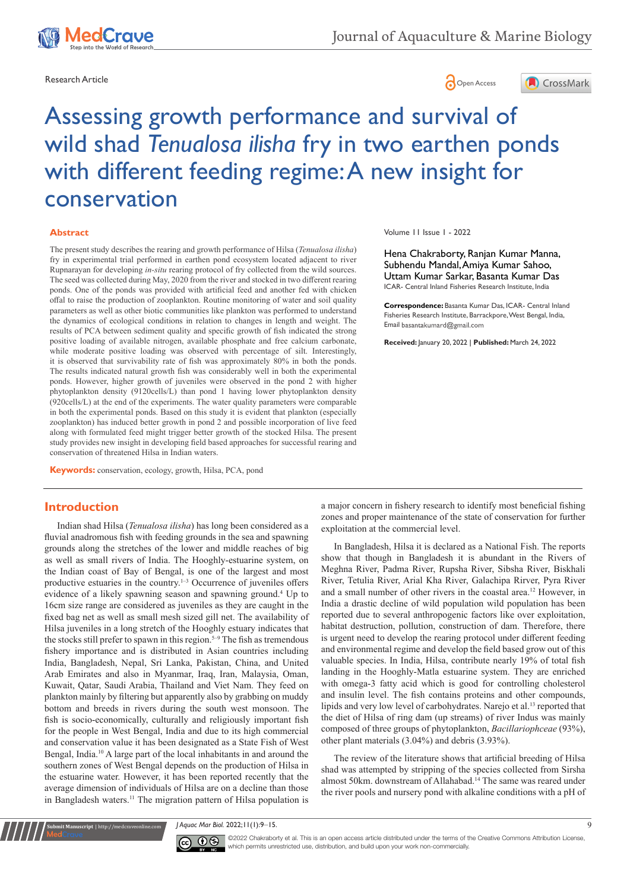



# Assessing growth performance and survival of wild shad *Tenualosa ilisha* fry in two earthen ponds with different feeding regime: A new insight for conservation

#### **Abstract**

The present study describes the rearing and growth performance of Hilsa (*Tenualosa ilisha*) fry in experimental trial performed in earthen pond ecosystem located adjacent to river Rupnarayan for developing *in-situ* rearing protocol of fry collected from the wild sources. The seed was collected during May, 2020 from the river and stocked in two different rearing ponds. One of the ponds was provided with artificial feed and another fed with chicken offal to raise the production of zooplankton. Routine monitoring of water and soil quality parameters as well as other biotic communities like plankton was performed to understand the dynamics of ecological conditions in relation to changes in length and weight. The results of PCA between sediment quality and specific growth of fish indicated the strong positive loading of available nitrogen, available phosphate and free calcium carbonate, while moderate positive loading was observed with percentage of silt. Interestingly, it is observed that survivability rate of fish was approximately 80% in both the ponds The results indicated natural growth fish was considerably well in both the experimental ponds. However, higher growth of juveniles were observed in the pond 2 with higher phytoplankton density (9120cells/L) than pond 1 having lower phytoplankton density (920cells/L) at the end of the experiments. The water quality parameters were comparable in both the experimental ponds. Based on this study it is evident that plankton (especially zooplankton) has induced better growth in pond 2 and possible incorporation of live feed along with formulated feed might trigger better growth of the stocked Hilsa. The present study provides new insight in developing field based approaches for successful rearing and conservation of threatened Hilsa in Indian waters.

**Keywords:** conservation, ecology, growth, Hilsa, PCA, pond

# **Introduction**

Indian shad Hilsa (*Tenualosa ilisha*) has long been considered as a fluvial anadromous fish with feeding grounds in the sea and spawning grounds along the stretches of the lower and middle reaches of big as well as small rivers of India. The Hooghly-estuarine system, on the Indian coast of Bay of Bengal, is one of the largest and most productive estuaries in the country.<sup>1-3</sup> Occurrence of juveniles offers evidence of a likely spawning season and spawning ground.<sup>4</sup> Up to 16cm size range are considered as juveniles as they are caught in the fixed bag net as well as small mesh sized gill net. The availability of Hilsa juveniles in a long stretch of the Hooghly estuary indicates that the stocks still prefer to spawn in this region.<sup>5-9</sup> The fish as tremendous fishery importance and is distributed in Asian countries including India, Bangladesh, Nepal, Sri Lanka, Pakistan, China, and United Arab Emirates and also in Myanmar, Iraq, Iran, Malaysia, Oman, Kuwait, Qatar, Saudi Arabia, Thailand and Viet Nam. They feed on plankton mainly by filtering but apparently also by grabbing on muddy bottom and breeds in rivers during the south west monsoon. The fish is socio-economically, culturally and religiously important fish for the people in West Bengal, India and due to its high commercial and conservation value it has been designated as a State Fish of West Bengal, India.<sup>10</sup> A large part of the local inhabitants in and around the southern zones of West Bengal depends on the production of Hilsa in the estuarine water. However, it has been reported recently that the average dimension of individuals of Hilsa are on a decline than those in Bangladesh waters.<sup>11</sup> The migration pattern of Hilsa population is

Volume 11 Issue 1 - 2022

Hena Chakraborty, Ranjan Kumar Manna, Subhendu Mandal, Amiya Kumar Sahoo, Uttam Kumar Sarkar, Basanta Kumar Das ICAR- Central Inland Fisheries Research Institute, India

**Correspondence:** Basanta Kumar Das, ICAR- Central Inland Fisheries Research Institute, Barrackpore, West Bengal, India, Email basantakumard@gmail.com

**Received:** January 20, 2022 | **Published:** March 24, 2022

a major concern in fishery research to identify most beneficial fishing zones and proper maintenance of the state of conservation for further exploitation at the commercial level.

In Bangladesh, Hilsa it is declared as a National Fish. The reports show that though in Bangladesh it is abundant in the Rivers of Meghna River, Padma River, Rupsha River, Sibsha River, Biskhali River, Tetulia River, Arial Kha River, Galachipa Rirver, Pyra River and a small number of other rivers in the coastal area.<sup>12</sup> However, in India a drastic decline of wild population wild population has been reported due to several anthropogenic factors like over exploitation, habitat destruction, pollution, construction of dam. Therefore, there is urgent need to develop the rearing protocol under different feeding and environmental regime and develop the field based grow out of this valuable species. In India, Hilsa, contribute nearly 19% of total fish landing in the Hooghly-Matla estuarine system. They are enriched with omega-3 fatty acid which is good for controlling cholesterol and insulin level. The fish contains proteins and other compounds, lipids and very low level of carbohydrates. Narejo et al.<sup>13</sup> reported that the diet of Hilsa of ring dam (up streams) of river Indus was mainly composed of three groups of phytoplankton, *Bacillariophceae* (93%), other plant materials (3.04%) and debris (3.93%).

The review of the literature shows that artificial breeding of Hilsa shad was attempted by stripping of the species collected from Sirsha almost 50km. downstream of Allahabad.<sup>14</sup> The same was reared under the river pools and nursery pond with alkaline conditions with a pH of

*J Aquac Mar Biol.* 2022;11(1):9‒15. 9



**Kubmit Manuscript** | http://medcraveonline.c

 $\overline{\text{cc}}$   $\overline{\text{C}}$   $\odot$  2022 Chakraborty et al. This is an open access article distributed under the terms of the [Creative Commons Attribution License](https://creativecommons.org/licenses/by-nc/4.0/), which permits unrestricted use, distribution, and build upon your work non-commercially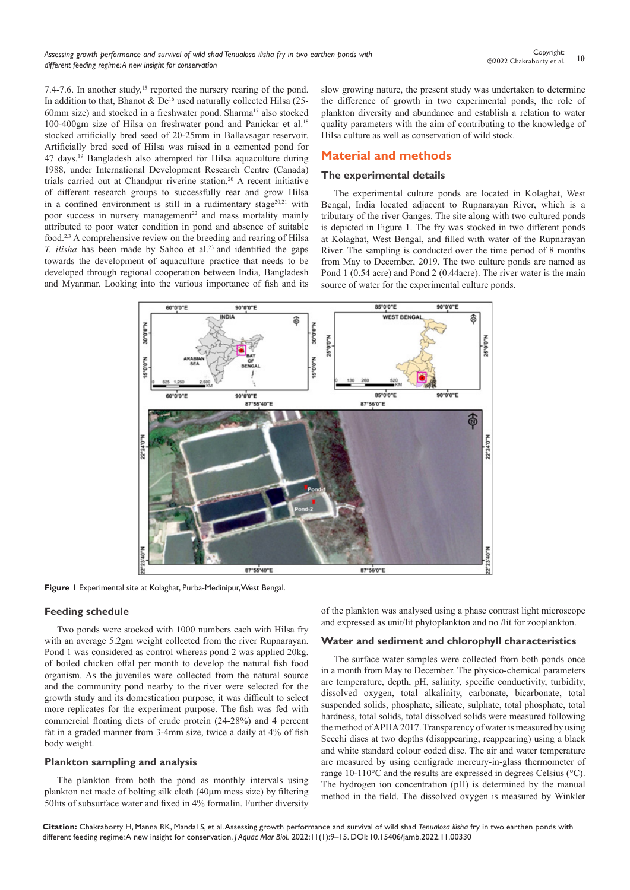7.4-7.6. In another study,<sup>15</sup> reported the nursery rearing of the pond. In addition to that, Bhanot &  $De^{16}$  used naturally collected Hilsa (25-60mm size) and stocked in a freshwater pond. Sharma<sup>17</sup> also stocked 100-400gm size of Hilsa on freshwater pond and Panickar et al.18 stocked artificially bred seed of 20-25mm in Ballavsagar reservoir. Artificially bred seed of Hilsa was raised in a cemented pond for 47 days.<sup>19</sup> Bangladesh also attempted for Hilsa aquaculture during 1988, under International Development Research Centre (Canada) trials carried out at Chandpur riverine station.<sup>20</sup> A recent initiative of different research groups to successfully rear and grow Hilsa in a confined environment is still in a rudimentary stage<sup>20,21</sup> with poor success in nursery management<sup>22</sup> and mass mortality mainly attributed to poor water condition in pond and absence of suitable food.2,3 A comprehensive review on the breeding and rearing of Hilsa *T. ilisha* has been made by Sahoo et al.<sup>23</sup> and identified the gaps towards the development of aquaculture practice that needs to be developed through regional cooperation between India, Bangladesh and Myanmar. Looking into the various importance of fish and its

slow growing nature, the present study was undertaken to determine the difference of growth in two experimental ponds, the role of plankton diversity and abundance and establish a relation to water quality parameters with the aim of contributing to the knowledge of Hilsa culture as well as conservation of wild stock.

## **Material and methods**

#### **The experimental details**

The experimental culture ponds are located in Kolaghat, West Bengal, India located adjacent to Rupnarayan River, which is a tributary of the river Ganges. The site along with two cultured ponds is depicted in Figure 1. The fry was stocked in two different ponds at Kolaghat, West Bengal, and filled with water of the Rupnarayan River. The sampling is conducted over the time period of 8 months from May to December, 2019. The two culture ponds are named as Pond 1 (0.54 acre) and Pond 2 (0.44acre). The river water is the main source of water for the experimental culture ponds.



**Figure 1** Experimental site at Kolaghat, Purba-Medinipur, West Bengal.

#### **Feeding schedule**

Two ponds were stocked with 1000 numbers each with Hilsa fry with an average 5.2gm weight collected from the river Rupnarayan. Pond 1 was considered as control whereas pond 2 was applied 20kg. of boiled chicken offal per month to develop the natural fish food organism. As the juveniles were collected from the natural source and the community pond nearby to the river were selected for the growth study and its domestication purpose, it was difficult to select more replicates for the experiment purpose. The fish was fed with commercial floating diets of crude protein (24-28%) and 4 percent fat in a graded manner from 3-4mm size, twice a daily at 4% of fish body weight.

#### **Plankton sampling and analysis**

The plankton from both the pond as monthly intervals using plankton net made of bolting silk cloth (40μm mess size) by filtering 50lits of subsurface water and fixed in 4% formalin. Further diversity

of the plankton was analysed using a phase contrast light microscope and expressed as unit/lit phytoplankton and no /lit for zooplankton.

#### **Water and sediment and chlorophyll characteristics**

The surface water samples were collected from both ponds once in a month from May to December. The physico-chemical parameters are temperature, depth, pH, salinity, specific conductivity, turbidity, dissolved oxygen, total alkalinity, carbonate, bicarbonate, total suspended solids, phosphate, silicate, sulphate, total phosphate, total hardness, total solids, total dissolved solids were measured following the method of APHA 2017. Transparency of water is measured by using Secchi discs at two depths (disappearing, reappearing) using a black and white standard colour coded disc. The air and water temperature are measured by using centigrade mercury-in-glass thermometer of range 10-110°C and the results are expressed in degrees Celsius (°C). The hydrogen ion concentration (pH) is determined by the manual method in the field. The dissolved oxygen is measured by Winkler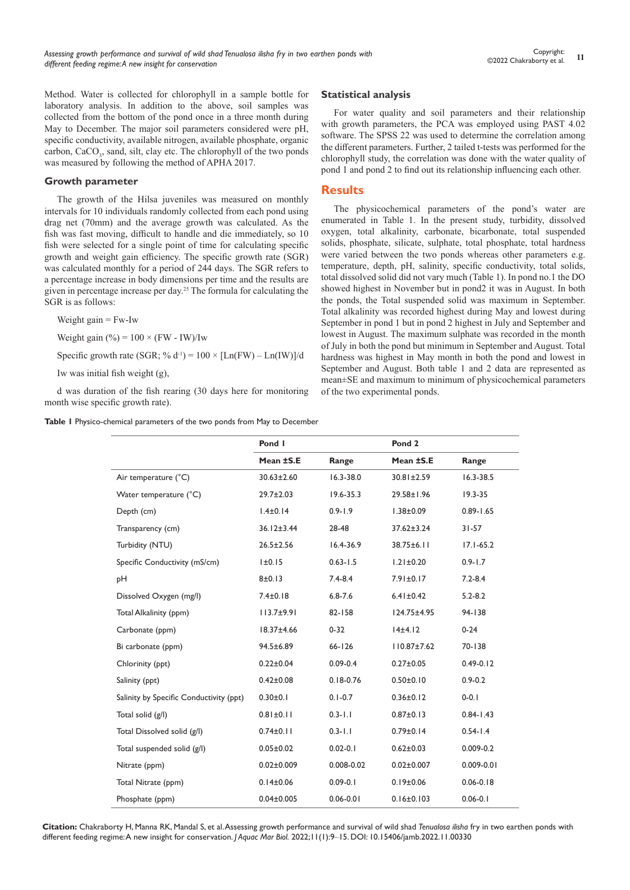Method. Water is collected for chlorophyll in a sample bottle for laboratory analysis. In addition to the above, soil samples was collected from the bottom of the pond once in a three month during May to December. The major soil parameters considered were pH, specific conductivity, available nitrogen, available phosphate, organic carbon, CaCO<sub>3</sub>, sand, silt, clay etc. The chlorophyll of the two ponds was measured by following the method of APHA 2017.

#### **Growth parameter**

The growth of the Hilsa juveniles was measured on monthly intervals for 10 individuals randomly collected from each pond using drag net (70mm) and the average growth was calculated. As the fish was fast moving, difficult to handle and die immediately, so 10 fish were selected for a single point of time for calculating specific growth and weight gain efficiency. The specific growth rate (SGR) was calculated monthly for a period of 244 days. The SGR refers to a percentage increase in body dimensions per time and the results are given in percentage increase per day.<sup>25</sup> The formula for calculating the SGR is as follows:

Weight gain  $=$  Fw-Iw

Weight gain  $\left(\frac{9}{0}\right) = 100 \times (FW - IW)/Iw$ 

Specific growth rate (SGR; %  $d^{-1}$ ) = 100 × [Ln(FW) – Ln(IW)]/d

Iw was initial fish weight (g),

d was duration of the fish rearing (30 days here for monitoring month wise specific growth rate).

#### **Table 1** Physico-chemical parameters of the two ponds from May to December

#### **Statistical analysis**

For water quality and soil parameters and their relationship with growth parameters, the PCA was employed using PAST 4.02 software. The SPSS 22 was used to determine the correlation among the different parameters. Further, 2 tailed t-tests was performed for the chlorophyll study, the correlation was done with the water quality of pond 1 and pond 2 to find out its relationship influencing each other.

#### **Results**

The physicochemical parameters of the pond's water are enumerated in Table 1. In the present study, turbidity, dissolved oxygen, total alkalinity, carbonate, bicarbonate, total suspended solids, phosphate, silicate, sulphate, total phosphate, total hardness were varied between the two ponds whereas other parameters e.g. temperature, depth, pH, salinity, specific conductivity, total solids, total dissolved solid did not vary much (Table 1). In pond no.1 the DO showed highest in November but in pond2 it was in August. In both the ponds, the Total suspended solid was maximum in September. Total alkalinity was recorded highest during May and lowest during September in pond 1 but in pond 2 highest in July and September and lowest in August. The maximum sulphate was recorded in the month of July in both the pond but minimum in September and August. Total hardness was highest in May month in both the pond and lowest in September and August. Both table 1 and 2 data are represented as mean±SE and maximum to minimum of physicochemical parameters of the two experimental ponds.

|                                         | Pond I           |               | Pond <sub>2</sub> |                |
|-----------------------------------------|------------------|---------------|-------------------|----------------|
|                                         | Mean ±S.E        | Range         | Mean ±S.E         | Range          |
| Air temperature (°C)                    | $30.63 \pm 2.60$ | $16.3 - 38.0$ | $30.81 \pm 2.59$  | $16.3 - 38.5$  |
| Water temperature (°C)                  | $29.7 \pm 2.03$  | $19.6 - 35.3$ | 29.58±1.96        | $19.3 - 35$    |
| Depth (cm)                              | $1.4 \pm 0.14$   | $0.9 - 1.9$   | $1.38 \pm 0.09$   | $0.89 - 1.65$  |
| Transparency (cm)                       | $36.12 \pm 3.44$ | 28-48         | $37.62 \pm 3.24$  | $31 - 57$      |
| Turbidity (NTU)                         | $26.5 \pm 2.56$  | $16.4 - 36.9$ | $38.75 \pm 6.11$  | $17.1 - 65.2$  |
| Specific Conductivity (mS/cm)           | I±0.15           | $0.63 - 1.5$  | $1.21 \pm 0.20$   | $0.9 - 1.7$    |
| pН                                      | 8±0.13           | $7.4 - 8.4$   | 7.91±0.17         | $7.2 - 8.4$    |
| Dissolved Oxygen (mg/l)                 | $7.4 \pm 0.18$   | $6.8 - 7.6$   | $6.41 \pm 0.42$   | $5.2 - 8.2$    |
| Total Alkalinity (ppm)                  | $113.7 + 9.91$   | $82 - 158$    | $124.75 \pm 4.95$ | 94-138         |
| Carbonate (ppm)                         | 18.37±4.66       | $0 - 32$      | 14±4.12           | $0 - 24$       |
| Bi carbonate (ppm)                      | 94.5±6.89        | $66 - 126$    | $110.87 \pm 7.62$ | 70-138         |
| Chlorinity (ppt)                        | $0.22 \pm 0.04$  | $0.09 - 0.4$  | $0.27 \pm 0.05$   | $0.49 - 0.12$  |
| Salinity (ppt)                          | $0.42 \pm 0.08$  | $0.18 - 0.76$ | $0.50 \pm 0.10$   | $0.9 - 0.2$    |
| Salinity by Specific Conductivity (ppt) | $0.30 \pm 0.1$   | $0.1 - 0.7$   | $0.36 \pm 0.12$   | $0-0.1$        |
| Total solid (g/l)                       | $0.81 \pm 0.11$  | $0.3 - 1.1$   | $0.87 \pm 0.13$   | $0.84 - 1.43$  |
| Total Dissolved solid (g/l)             | $0.74 \pm 0.11$  | $0.3 - 1.1$   | $0.79 \pm 0.14$   | $0.54 - 1.4$   |
| Total suspended solid (g/l)             | $0.05 \pm 0.02$  | $0.02 - 0.1$  | $0.62 \pm 0.03$   | $0.009 - 0.2$  |
| Nitrate (ppm)                           | $0.02 \pm 0.009$ | 0.008-0.02    | $0.02 \pm 0.007$  | $0.009 - 0.01$ |
| Total Nitrate (ppm)                     | $0.14 \pm 0.06$  | $0.09 - 0.1$  | $0.19 \pm 0.06$   | $0.06 - 0.18$  |
| Phosphate (ppm)                         | $0.04 \pm 0.005$ | $0.06 - 0.01$ | $0.16 \pm 0.103$  | $0.06 - 0.1$   |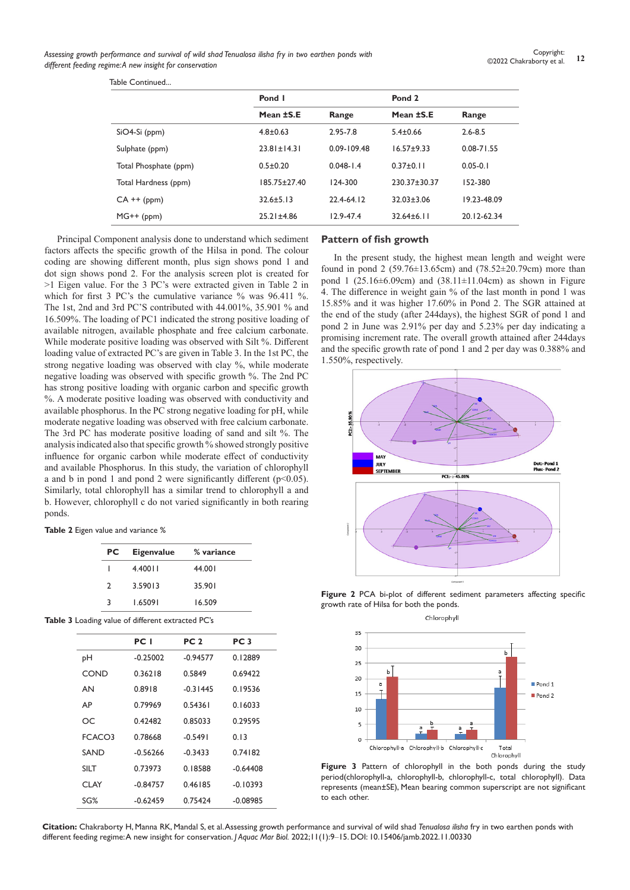Table Continued...

|                       | Pond I             |                 | Pond <sub>2</sub> |                |
|-----------------------|--------------------|-----------------|-------------------|----------------|
|                       | Mean ±S.E          | Range           | Mean ±S.E         | Range          |
| $SiO4-Si$ (ppm)       | $4.8 \pm 0.63$     | 2.95-7.8        | $5.4 \pm 0.66$    | $2.6 - 8.5$    |
| Sulphate (ppm)        | $23.81 \pm 14.31$  | $0.09 - 109.48$ | $16.57 \pm 9.33$  | $0.08 - 71.55$ |
| Total Phosphate (ppm) | $0.5 \pm 0.20$     | $0.048 - 1.4$   | $0.37 \pm 0.11$   | $0.05 - 0.1$   |
| Total Hardness (ppm)  | $185.75 \pm 27.40$ | 124-300         | 230.37±30.37      | 152-380        |
| $CA + f(ppm)$         | $32.6 \pm 5.13$    | 22.4-64.12      | $32.03 \pm 3.06$  | 19.23-48.09    |
| $MG++(ppm)$           | $25.21 \pm 4.86$   | $12.9 - 47.4$   | $32.64 \pm 6.11$  | 20.12-62.34    |
|                       |                    |                 |                   |                |

Principal Component analysis done to understand which sediment factors affects the specific growth of the Hilsa in pond. The colour coding are showing different month, plus sign shows pond 1 and dot sign shows pond 2. For the analysis screen plot is created for >1 Eigen value. For the 3 PC's were extracted given in Table 2 in which for first 3 PC's the cumulative variance % was 96.411 %. The 1st, 2nd and 3rd PC'S contributed with 44.001%, 35.901 % and 16.509%. The loading of PC1 indicated the strong positive loading of available nitrogen, available phosphate and free calcium carbonate. While moderate positive loading was observed with Silt %. Different loading value of extracted PC's are given in Table 3. In the 1st PC, the strong negative loading was observed with clay %, while moderate negative loading was observed with specific growth %. The 2nd PC has strong positive loading with organic carbon and specific growth %. A moderate positive loading was observed with conductivity and available phosphorus. In the PC strong negative loading for pH, while moderate negative loading was observed with free calcium carbonate. The 3rd PC has moderate positive loading of sand and silt %. The analysis indicated also that specific growth % showed strongly positive influence for organic carbon while moderate effect of conductivity and available Phosphorus. In this study, the variation of chlorophyll a and b in pond 1 and pond 2 were significantly different ( $p$ <0.05). Similarly, total chlorophyll has a similar trend to chlorophyll a and b. However, chlorophyll c do not varied significantly in both rearing ponds.

**Table 2** Eigen value and variance %

| PC            | <b>Eigenvalue</b> | % variance |
|---------------|-------------------|------------|
|               | 4.40011           | 44.001     |
| $\mathcal{L}$ | 3.59013           | 35.901     |
| ર             | L65091            | 16.509     |

**Table 3** Loading value of different extracted PC's

|        | PC I       | PC <sub>2</sub> | PC <sub>3</sub> |
|--------|------------|-----------------|-----------------|
| pН     | $-0.25002$ | $-0.94577$      | 0.12889         |
| COND   | 0.36218    | 0.5849          | 0.69422         |
| AN     | 0.8918     | $-0.31445$      | 0.19536         |
| AР     | 0.79969    | 0.54361         | 0.16033         |
| OС     | 0.42482    | 0.85033         | 0.29595         |
| FCACO3 | 0.78668    | $-0.5491$       | 0.13            |
| SAND   | $-0.56266$ | $-0.3433$       | 0.74182         |
| SII T  | 0.73973    | 0.18588         | $-0.64408$      |
| CI AY  | $-0.84757$ | 0.46185         | $-0.10393$      |
| $SG\%$ | $-0.62459$ | 0.75424         | $-0.08985$      |

### **Pattern of fish growth**

In the present study, the highest mean length and weight were found in pond 2 (59.76±13.65cm) and (78.52±20.79cm) more than pond 1 (25.16 $\pm$ 6.09cm) and (38.11 $\pm$ 11.04cm) as shown in Figure 4. The difference in weight gain % of the last month in pond 1 was 15.85% and it was higher 17.60% in Pond 2. The SGR attained at the end of the study (after 244days), the highest SGR of pond 1 and pond 2 in June was 2.91% per day and 5.23% per day indicating a promising increment rate. The overall growth attained after 244days and the specific growth rate of pond 1 and 2 per day was 0.388% and 1.550%, respectively.



**Figure 2** PCA bi-plot of different sediment parameters affecting specific growth rate of Hilsa for both the ponds.



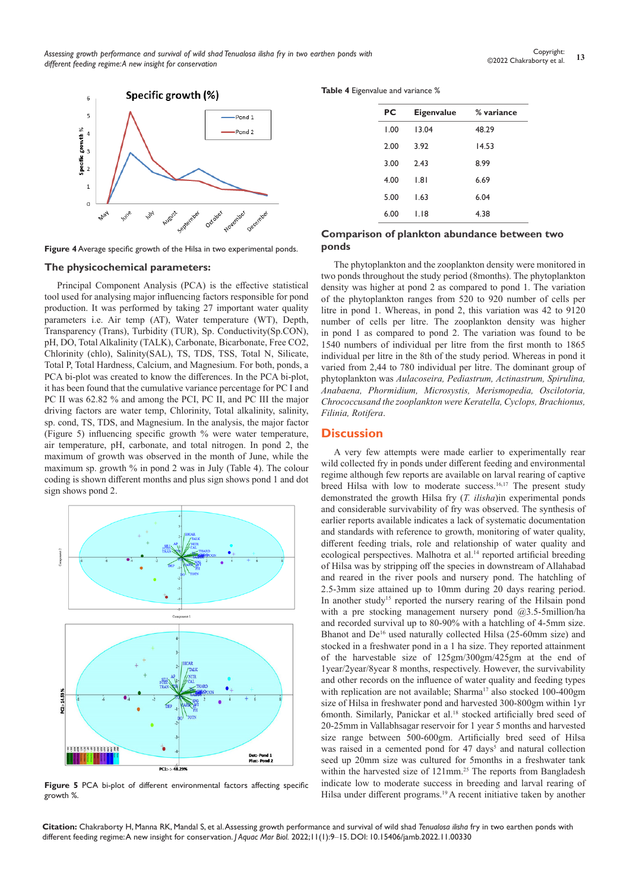*Assessing growth performance and survival of wild shad Tenualosa ilisha fry in two earthen ponds with different feeding regime: A new insight for conservation*



**Figure 4** Average specific growth of the Hilsa in two experimental ponds.

#### **The physicochemical parameters:**

Principal Component Analysis (PCA) is the effective statistical tool used for analysing major influencing factors responsible for pond production. It was performed by taking 27 important water quality parameters i.e. Air temp (AT), Water temperature (WT), Depth, Transparency (Trans), Turbidity (TUR), Sp. Conductivity(Sp.CON), pH, DO, Total Alkalinity (TALK), Carbonate, Bicarbonate, Free CO2, Chlorinity (chlo), Salinity(SAL), TS, TDS, TSS, Total N, Silicate, Total P, Total Hardness, Calcium, and Magnesium. For both, ponds, a PCA bi-plot was created to know the differences. In the PCA bi-plot, it has been found that the cumulative variance percentage for PC I and PC II was 62.82 % and among the PCI, PC II, and PC III the major driving factors are water temp, Chlorinity, Total alkalinity, salinity, sp. cond, TS, TDS, and Magnesium. In the analysis, the major factor (Figure 5) influencing specific growth % were water temperature, air temperature, pH, carbonate, and total nitrogen. In pond 2, the maximum of growth was observed in the month of June, while the maximum sp. growth % in pond 2 was in July (Table 4). The colour coding is shown different months and plus sign shows pond 1 and dot sign shows pond 2.



**Figure 5** PCA bi-plot of different environmental factors affecting specific growth %.

**Table 4** Eigenvalue and variance %

| PC   | Eigenvalue | % variance |
|------|------------|------------|
| 1.00 | 13.04      | 48.29      |
| 2.00 | 3.92       | 14.53      |
| 3.00 | 2.43       | 8.99       |
| 4.00 | 1.81       | 6.69       |
| 5.00 | 1.63       | 6.04       |
| 6.00 | I.I8       | 4.38       |
|      |            |            |

### **Comparison of plankton abundance between two ponds**

The phytoplankton and the zooplankton density were monitored in two ponds throughout the study period (8months). The phytoplankton density was higher at pond 2 as compared to pond 1. The variation of the phytoplankton ranges from 520 to 920 number of cells per litre in pond 1. Whereas, in pond 2, this variation was 42 to 9120 number of cells per litre. The zooplankton density was higher in pond 1 as compared to pond 2. The variation was found to be 1540 numbers of individual per litre from the first month to 1865 individual per litre in the 8th of the study period. Whereas in pond it varied from 2,44 to 780 individual per litre. The dominant group of phytoplankton was *Aulacoseira, Pediastrum, Actinastrum, Spirulina, Anabaena, Phormidium, Microsystis, Merismopedia, Oscilotoria, Chrococcusand the zooplankton were Keratella, Cyclops, Brachionus, Filinia, Rotifera*.

# **Discussion**

A very few attempts were made earlier to experimentally rear wild collected fry in ponds under different feeding and environmental regime although few reports are available on larval rearing of captive breed Hilsa with low to moderate success.16,17 The present study demonstrated the growth Hilsa fry (*T. ilisha*)in experimental ponds and considerable survivability of fry was observed. The synthesis of earlier reports available indicates a lack of systematic documentation and standards with reference to growth, monitoring of water quality, different feeding trials, role and relationship of water quality and ecological perspectives. Malhotra et al.<sup>14</sup> reported artificial breeding of Hilsa was by stripping off the species in downstream of Allahabad and reared in the river pools and nursery pond. The hatchling of 2.5-3mm size attained up to 10mm during 20 days rearing period. In another study<sup>15</sup> reported the nursery rearing of the Hilsain pond with a pre stocking management nursery pond @3.5-5million/ha and recorded survival up to 80-90% with a hatchling of 4-5mm size. Bhanot and De<sup>16</sup> used naturally collected Hilsa (25-60mm size) and stocked in a freshwater pond in a 1 ha size. They reported attainment of the harvestable size of 125gm/300gm/425gm at the end of 1year/2year/8year 8 months, respectively. However, the survivability and other records on the influence of water quality and feeding types with replication are not available; Sharma<sup>17</sup> also stocked 100-400gm size of Hilsa in freshwater pond and harvested 300-800gm within 1yr 6month. Similarly, Panickar et al.18 stocked artificially bred seed of 20-25mm in Vallabhsagar reservoir for 1 year 5 months and harvested size range between 500-600gm. Artificially bred seed of Hilsa was raised in a cemented pond for 47 days<sup>5</sup> and natural collection seed up 20mm size was cultured for 5months in a freshwater tank within the harvested size of 121mm.<sup>25</sup> The reports from Bangladesh indicate low to moderate success in breeding and larval rearing of Hilsa under different programs.<sup>19</sup> A recent initiative taken by another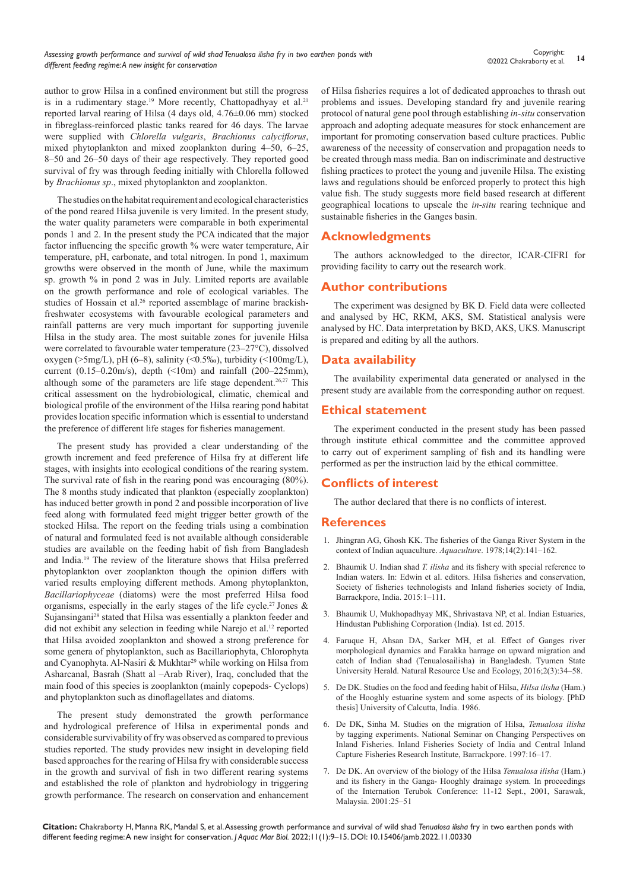author to grow Hilsa in a confined environment but still the progress is in a rudimentary stage.<sup>19</sup> More recently, Chattopadhyay et al.<sup>21</sup> reported larval rearing of Hilsa (4 days old, 4.76±0.06 mm) stocked in fibreglass-reinforced plastic tanks reared for 46 days. The larvae were supplied with *Chlorella vulgaris*, *Brachionus calyciflorus*, mixed phytoplankton and mixed zooplankton during 4–50, 6–25, 8–50 and 26–50 days of their age respectively. They reported good survival of fry was through feeding initially with Chlorella followed by *Brachionus sp*., mixed phytoplankton and zooplankton.

The studies on the habitat requirement and ecological characteristics of the pond reared Hilsa juvenile is very limited. In the present study, the water quality parameters were comparable in both experimental ponds 1 and 2. In the present study the PCA indicated that the major factor influencing the specific growth % were water temperature, Air temperature, pH, carbonate, and total nitrogen. In pond 1, maximum growths were observed in the month of June, while the maximum sp. growth % in pond 2 was in July. Limited reports are available on the growth performance and role of ecological variables. The studies of Hossain et al.<sup>26</sup> reported assemblage of marine brackishfreshwater ecosystems with favourable ecological parameters and rainfall patterns are very much important for supporting juvenile Hilsa in the study area. The most suitable zones for juvenile Hilsa were correlated to favourable water temperature (23–27°C), dissolved oxygen (>5mg/L), pH (6–8), salinity (<0.5‰), turbidity (<100mg/L), current  $(0.15-0.20 \text{m/s})$ , depth  $($ <10m) and rainfall  $(200-225 \text{mm})$ , although some of the parameters are life stage dependent.<sup>26,27</sup> This critical assessment on the hydrobiological, climatic, chemical and biological profile of the environment of the Hilsa rearing pond habitat provides location specific information which is essential to understand the preference of different life stages for fisheries management.

The present study has provided a clear understanding of the growth increment and feed preference of Hilsa fry at different life stages, with insights into ecological conditions of the rearing system. The survival rate of fish in the rearing pond was encouraging (80%). The 8 months study indicated that plankton (especially zooplankton) has induced better growth in pond 2 and possible incorporation of live feed along with formulated feed might trigger better growth of the stocked Hilsa. The report on the feeding trials using a combination of natural and formulated feed is not available although considerable studies are available on the feeding habit of fish from Bangladesh and India.<sup>19</sup> The review of the literature shows that Hilsa preferred phytoplankton over zooplankton though the opinion differs with varied results employing different methods. Among phytoplankton, *Bacillariophyceae* (diatoms) were the most preferred Hilsa food organisms, especially in the early stages of the life cycle.<sup>27</sup> Jones & Sujansingani<sup>28</sup> stated that Hilsa was essentially a plankton feeder and did not exhibit any selection in feeding while Narejo et al.<sup>12</sup> reported that Hilsa avoided zooplankton and showed a strong preference for some genera of phytoplankton, such as Bacillariophyta, Chlorophyta and Cyanophyta. Al-Nasiri & Mukhtar<sup>29</sup> while working on Hilsa from Asharcanal, Basrah (Shatt al –Arab River), Iraq, concluded that the main food of this species is zooplankton (mainly copepods- Cyclops) and phytoplankton such as dinoflagellates and diatoms.

The present study demonstrated the growth performance and hydrological preference of Hilsa in experimental ponds and considerable survivability of fry was observed as compared to previous studies reported. The study provides new insight in developing field based approaches for the rearing of Hilsa fry with considerable success in the growth and survival of fish in two different rearing systems and established the role of plankton and hydrobiology in triggering growth performance. The research on conservation and enhancement

of Hilsa fisheries requires a lot of dedicated approaches to thrash out problems and issues. Developing standard fry and juvenile rearing protocol of natural gene pool through establishing *in-situ* conservation approach and adopting adequate measures for stock enhancement are important for promoting conservation based culture practices. Public awareness of the necessity of conservation and propagation needs to be created through mass media. Ban on indiscriminate and destructive fishing practices to protect the young and juvenile Hilsa. The existing laws and regulations should be enforced properly to protect this high value fish. The study suggests more field based research at different geographical locations to upscale the *in-situ* rearing technique and sustainable fisheries in the Ganges basin.

# **Acknowledgments**

The authors acknowledged to the director, ICAR-CIFRI for providing facility to carry out the research work.

# **Author contributions**

The experiment was designed by BK D. Field data were collected and analysed by HC, RKM, AKS, SM. Statistical analysis were analysed by HC. Data interpretation by BKD, AKS, UKS. Manuscript is prepared and editing by all the authors.

# **Data availability**

The availability experimental data generated or analysed in the present study are available from the corresponding author on request.

# **Ethical statement**

The experiment conducted in the present study has been passed through institute ethical committee and the committee approved to carry out of experiment sampling of fish and its handling were performed as per the instruction laid by the ethical committee.

# **Conflicts of interest**

The author declared that there is no conflicts of interest.

#### **References**

- 1. [Jhingran AG, Ghosh KK. The fisheries of the Ganga River System in the](https://www.sciencedirect.com/science/article/abs/pii/0044848678900261)  [context of Indian aquaculture.](https://www.sciencedirect.com/science/article/abs/pii/0044848678900261) *Aquaculture*. 1978;14(2):141–162.
- 2. Bhaumik U. Indian shad *T. ilisha* and its fishery with special reference to Indian waters. In: Edwin et al. editors. Hilsa fisheries and conservation, Society of fisheries technologists and Inland fisheries society of India, Barrackpore, India. 2015:1–111.
- 3. Bhaumik U, Mukhopadhyay MK, Shrivastava NP, et al. Indian Estuaries, Hindustan Publishing Corporation (India). 1st ed. 2015.
- 4. [Faruque H, Ahsan DA, Sarker MH, et al. Effect of Ganges river](https://www.semanticscholar.org/paper/Effect-of-Ganges-River-Morphological-Dynamics-and-Faruque-Ahsan/10b8246619281dd4b85b95117670ef532aa60a33)  [morphological dynamics and Farakka barrage on upward migration and](https://www.semanticscholar.org/paper/Effect-of-Ganges-River-Morphological-Dynamics-and-Faruque-Ahsan/10b8246619281dd4b85b95117670ef532aa60a33)  [catch of Indian shad \(Tenualosailisha\) in Bangladesh. Tyumen State](https://www.semanticscholar.org/paper/Effect-of-Ganges-River-Morphological-Dynamics-and-Faruque-Ahsan/10b8246619281dd4b85b95117670ef532aa60a33)  [University Herald. Natural Resource Use and Ecology, 2016;2\(3\):34–58.](https://www.semanticscholar.org/paper/Effect-of-Ganges-River-Morphological-Dynamics-and-Faruque-Ahsan/10b8246619281dd4b85b95117670ef532aa60a33)
- 5. De DK. Studies on the food and feeding habit of Hilsa, *Hilsa ilisha* (Ham.) of the Hooghly estuarine system and some aspects of its biology. [PhD thesis] University of Calcutta, India. 1986.
- 6. De DK, Sinha M. Studies on the migration of Hilsa, *Tenualosa ilisha* by tagging experiments. National Seminar on Changing Perspectives on Inland Fisheries. Inland Fisheries Society of India and Central Inland Capture Fisheries Research Institute, Barrackpore. 1997:16–17.
- 7. De DK. An overview of the biology of the Hilsa *Tenualosa ilisha* (Ham.) and its fishery in the Ganga- Hooghly drainage system. In proceedings of the Internation Terubok Conference: 11-12 Sept., 2001, Sarawak, Malaysia. 2001:25–51